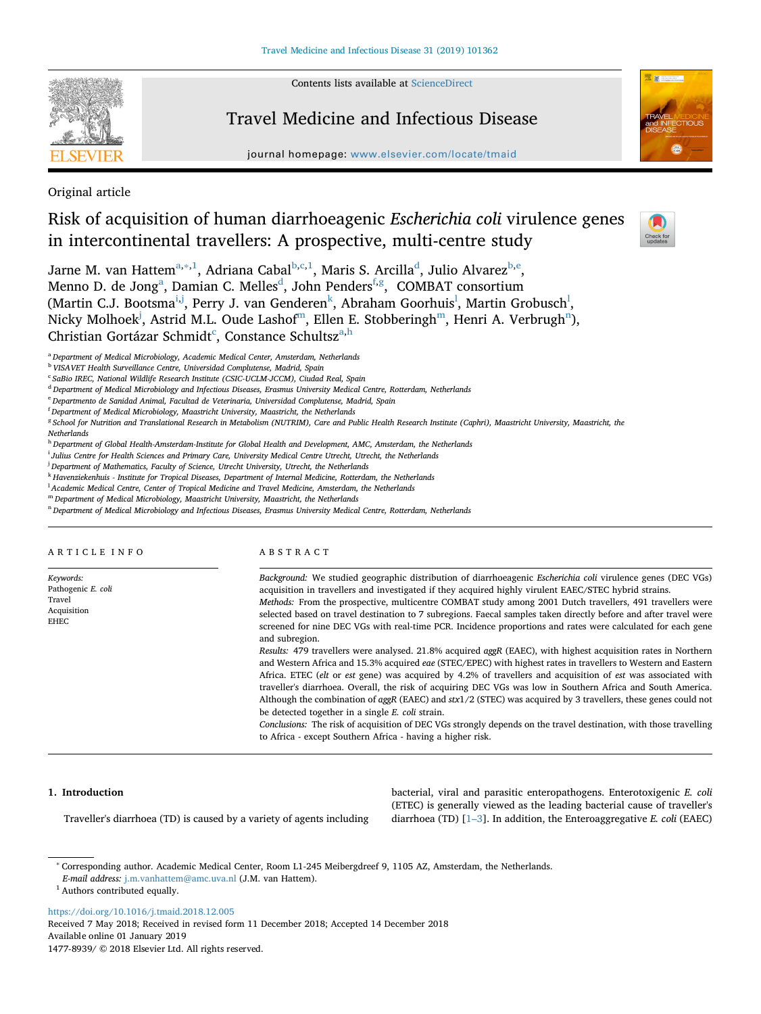Contents lists available at [ScienceDirect](http://www.sciencedirect.com/science/journal/14778939)



# Travel Medicine and Infectious Disease

journal homepage: [www.elsevier.com/locate/tmaid](https://www.elsevier.com/locate/tmaid)



Original article

# Risk of acquisition of human diarrhoeagenic *Escherichia coli* virulence genes in intercontinental travellers: A prospective, multi-centre study

 $\frac{N}{2}$ 

Jarn[e](#page-0-6) M. van Hattem $^{\mathrm{a},\ast,1}$  $^{\mathrm{a},\ast,1}$  $^{\mathrm{a},\ast,1}$ , Adriana Cabal $^{\mathrm{b},\mathrm{c},1}$  $^{\mathrm{b},\mathrm{c},1}$  $^{\mathrm{b},\mathrm{c},1}$ , Maris S. Arcilla $^{\mathrm{d}}$ , Julio Alvarez $^{\mathrm{b},\mathrm{e}}$ , Menno D. [d](#page-0-5)e Jong<sup>a</sup>, Damian C. Melles<sup>d</sup>, John Penders<sup>[f](#page-0-7),[g](#page-0-8)</sup>, COMBAT consortium (Martin C.J. Bootsma<sup>i,[j](#page-0-10)</sup>, Perry J. van Genderen<sup>[k](#page-0-11)</sup>, Abraham Goorhuis<sup>1</sup>, Martin Grobusch<sup>1</sup>, Nicky Molhoek<sup>[j](#page-0-10)</sup>, Astrid M.L. Oude Lashof<sup>m</sup>, Elle[n](#page-0-14) E. Stobberingh<sup>m</sup>, Henri A. Verbrugh<sup>n</sup>), Christian Gortázar S[c](#page-0-4)hmidt<sup>c</sup>, Const[a](#page-0-0)nce Sc[h](#page-0-15)ultsz<sup>a,h</sup>

<span id="page-0-0"></span><sup>a</sup> *Department of Medical Microbiology, Academic Medical Center, Amsterdam, Netherlands*

<span id="page-0-3"></span><sup>b</sup> *VISAVET Health Surveillance Centre, Universidad Complutense, Madrid, Spain*

<span id="page-0-4"></span><sup>c</sup> *SaBio IREC, National Wildlife Research Institute (CSIC‐UCLM‐JCCM), Ciudad Real, Spain*

<span id="page-0-5"></span><sup>d</sup> *Department of Medical Microbiology and Infectious Diseases, Erasmus University Medical Centre, Rotterdam, Netherlands*

<span id="page-0-6"></span><sup>e</sup> *Departmento de Sanidad Animal, Facultad de Veterinaria, Universidad Complutense, Madrid, Spain*

<span id="page-0-7"></span>f *Department of Medical Microbiology, Maastricht University, Maastricht, the Netherlands*

<span id="page-0-8"></span><sup>g</sup> *School for Nutrition and Translational Research in Metabolism (NUTRIM), Care and Public Health Research Institute (Caphri), Maastricht University, Maastricht, the Netherlands*

<span id="page-0-15"></span><sup>h</sup> *Department of Global Health-Amsterdam-Institute for Global Health and Development, AMC, Amsterdam, the Netherlands*

<span id="page-0-9"></span>i *Julius Centre for Health Sciences and Primary Care, University Medical Centre Utrecht, Utrecht, the Netherlands*

<span id="page-0-10"></span>j *Department of Mathematics, Faculty of Science, Utrecht University, Utrecht, the Netherlands*

<span id="page-0-11"></span><sup>k</sup> *Havenziekenhuis - Institute for Tropical Diseases, Department of Internal Medicine, Rotterdam, the Netherlands*

<span id="page-0-12"></span><sup>1</sup> Academic Medical Centre, Center of Tropical Medicine and Travel Medicine, Amsterdam, the Netherlands

<span id="page-0-13"></span><sup>m</sup> *Department of Medical Microbiology, Maastricht University, Maastricht, the Netherlands*

<span id="page-0-14"></span><sup>n</sup> *Department of Medical Microbiology and Infectious Diseases, Erasmus University Medical Centre, Rotterdam, Netherlands*

ARTICLE INFO

*Keywords:* Pathogenic *E. coli* Travel Acquisition EHEC

# ABSTRACT

and subregion.

*Background:* We studied geographic distribution of diarrhoeagenic *Escherichia coli* virulence genes (DEC VGs) acquisition in travellers and investigated if they acquired highly virulent EAEC/STEC hybrid strains. *Methods:* From the prospective, multicentre COMBAT study among 2001 Dutch travellers, 491 travellers were selected based on travel destination to 7 subregions. Faecal samples taken directly before and after travel were screened for nine DEC VGs with real-time PCR. Incidence proportions and rates were calculated for each gene

*Results:* 479 travellers were analysed. 21.8% acquired *aggR* (EAEC), with highest acquisition rates in Northern and Western Africa and 15.3% acquired *eae* (STEC/EPEC) with highest rates in travellers to Western and Eastern Africa. ETEC (*elt* or *est* gene) was acquired by 4.2% of travellers and acquisition of *est* was associated with traveller's diarrhoea. Overall, the risk of acquiring DEC VGs was low in Southern Africa and South America. Although the combination of *aggR* (EAEC) and *stx*1/2 (STEC) was acquired by 3 travellers, these genes could not be detected together in a single *E. coli* strain.

*Conclusions:* The risk of acquisition of DEC VGs strongly depends on the travel destination, with those travelling to Africa - except Southern Africa - having a higher risk.

# **1. Introduction**

Traveller's diarrhoea (TD) is caused by a variety of agents including

bacterial, viral and parasitic enteropathogens. Enterotoxigenic *E. coli* (ETEC) is generally viewed as the leading bacterial cause of traveller's diarrhoea (TD) [[1–3\]](#page-6-0). In addition, the Enteroaggregative *E. coli* (EAEC)

<https://doi.org/10.1016/j.tmaid.2018.12.005>

Received 7 May 2018; Received in revised form 11 December 2018; Accepted 14 December 2018 Available online 01 January 2019

<span id="page-0-1"></span><sup>∗</sup> Corresponding author. Academic Medical Center, Room L1-245 Meibergdreef 9, 1105 AZ, Amsterdam, the Netherlands.

*E-mail address:* [j.m.vanhattem@amc.uva.nl](mailto:j.m.vanhattem@amc.uva.nl) (J.M. van Hattem).

<span id="page-0-2"></span> $^{\rm 1}$  Authors contributed equally.

<sup>1477-8939/ © 2018</sup> Elsevier Ltd. All rights reserved.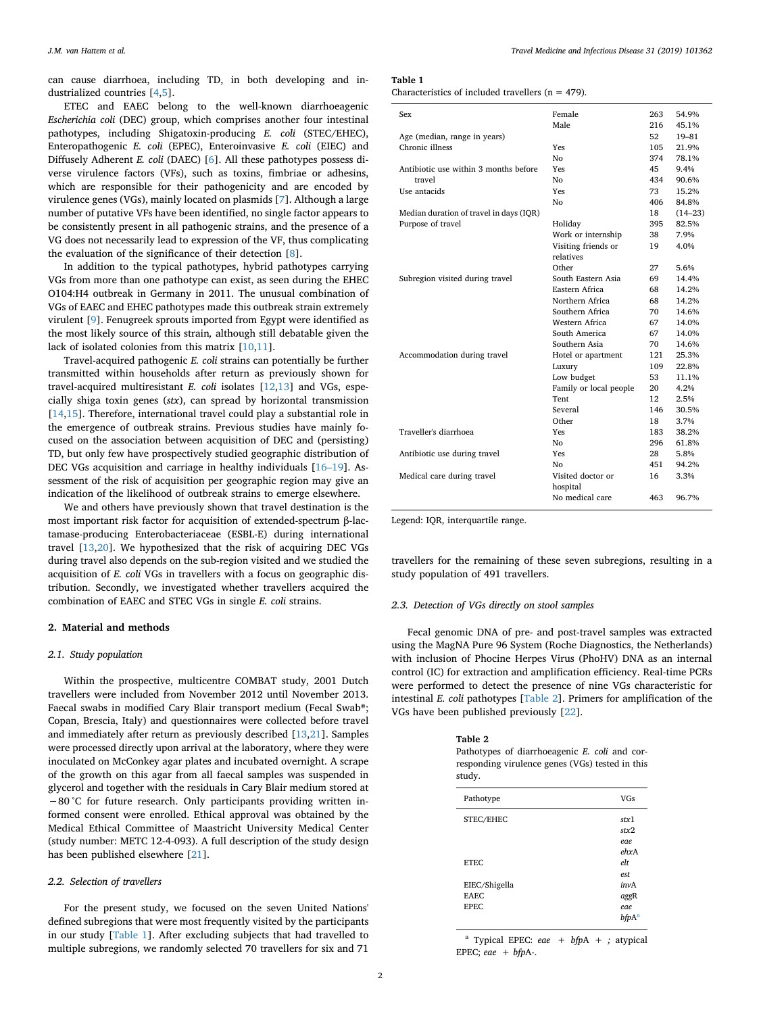can cause diarrhoea, including TD, in both developing and industrialized countries [\[4,](#page-6-1)[5](#page-6-2)].

ETEC and EAEC belong to the well-known diarrhoeagenic *Escherichia coli* (DEC) group, which comprises another four intestinal pathotypes, including Shigatoxin-producing *E. coli* (STEC/EHEC), Enteropathogenic *E. coli* (EPEC), Enteroinvasive *E. coli* (EIEC) and Diffusely Adherent *E. coli* (DAEC) [\[6\]](#page-6-3). All these pathotypes possess diverse virulence factors (VFs), such as toxins, fimbriae or adhesins, which are responsible for their pathogenicity and are encoded by virulence genes (VGs), mainly located on plasmids [[7](#page-6-4)]. Although a large number of putative VFs have been identified, no single factor appears to be consistently present in all pathogenic strains, and the presence of a VG does not necessarily lead to expression of the VF, thus complicating the evaluation of the significance of their detection [[8](#page-6-5)].

In addition to the typical pathotypes, hybrid pathotypes carrying VGs from more than one pathotype can exist, as seen during the EHEC O104:H4 outbreak in Germany in 2011. The unusual combination of VGs of EAEC and EHEC pathotypes made this outbreak strain extremely virulent [\[9\]](#page-6-6). Fenugreek sprouts imported from Egypt were identified as the most likely source of this strain*,* although still debatable given the lack of isolated colonies from this matrix [[10](#page-6-7)[,11](#page-6-8)].

Travel-acquired pathogenic *E. coli* strains can potentially be further transmitted within households after return as previously shown for travel-acquired multiresistant *E. coli* isolates [\[12](#page-6-9),[13\]](#page-6-10) and VGs, especially shiga toxin genes (*stx*), can spread by horizontal transmission [[14](#page-6-11)[,15](#page-6-12)]. Therefore, international travel could play a substantial role in the emergence of outbreak strains. Previous studies have mainly focused on the association between acquisition of DEC and (persisting) TD, but only few have prospectively studied geographic distribution of DEC VGs acquisition and carriage in healthy individuals [\[16–19\]](#page-6-13). Assessment of the risk of acquisition per geographic region may give an indication of the likelihood of outbreak strains to emerge elsewhere.

We and others have previously shown that travel destination is the most important risk factor for acquisition of extended-spectrum β-lactamase-producing Enterobacteriaceae (ESBL-E) during international travel [[13](#page-6-10)[,20](#page-6-14)]. We hypothesized that the risk of acquiring DEC VGs during travel also depends on the sub-region visited and we studied the acquisition of *E. coli* VGs in travellers with a focus on geographic distribution. Secondly, we investigated whether travellers acquired the combination of EAEC and STEC VGs in single *E. coli* strains.

#### **2. Material and methods**

#### *2.1. Study population*

Within the prospective, multicentre COMBAT study, 2001 Dutch travellers were included from November 2012 until November 2013. Faecal swabs in modified Cary Blair transport medium (Fecal Swab®; Copan, Brescia, Italy) and questionnaires were collected before travel and immediately after return as previously described [\[13](#page-6-10),[21\]](#page-6-15). Samples were processed directly upon arrival at the laboratory, where they were inoculated on McConkey agar plates and incubated overnight. A scrape of the growth on this agar from all faecal samples was suspended in glycerol and together with the residuals in Cary Blair medium stored at −80 °C for future research. Only participants providing written informed consent were enrolled. Ethical approval was obtained by the Medical Ethical Committee of Maastricht University Medical Center (study number: METC 12-4-093). A full description of the study design has been published elsewhere [[21\]](#page-6-15).

#### *2.2. Selection of travellers*

For the present study, we focused on the seven United Nations' defined subregions that were most frequently visited by the participants in our study [\[Table 1\]](#page-1-0). After excluding subjects that had travelled to multiple subregions, we randomly selected 70 travellers for six and 71

# <span id="page-1-0"></span>**Table 1**

Characteristics of included travellers ( $n = 479$ ).

| Sex                                     | Female                 | 263 | 54.9%       |
|-----------------------------------------|------------------------|-----|-------------|
|                                         | Male                   | 216 | 45.1%       |
| Age (median, range in years)            |                        | 52  | 19-81       |
| Chronic illness                         | Yes                    | 105 | 21.9%       |
|                                         | No                     | 374 | 78.1%       |
| Antibiotic use within 3 months before   | Yes                    | 45  | 9.4%        |
| travel                                  | No                     | 434 | 90.6%       |
| Use antacids                            | Yes                    | 73  | 15.2%       |
|                                         | No                     | 406 | 84.8%       |
| Median duration of travel in days (IQR) |                        | 18  | $(14 - 23)$ |
| Purpose of travel                       | Holiday                | 395 | 82.5%       |
|                                         | Work or internship     | 38  | 7.9%        |
|                                         | Visiting friends or    | 19  | 4.0%        |
|                                         | relatives              |     |             |
|                                         | Other                  | 27  | 5.6%        |
| Subregion visited during travel         | South Eastern Asia     | 69  | 14.4%       |
|                                         | Eastern Africa         | 68  | 14.2%       |
|                                         | Northern Africa        | 68  | 14.2%       |
|                                         | Southern Africa        | 70  | 14.6%       |
|                                         | Western Africa         | 67  | 14.0%       |
|                                         | South America          | 67  | 14.0%       |
|                                         | Southern Asia          | 70  | 14.6%       |
| Accommodation during travel             | Hotel or apartment     | 121 | 25.3%       |
|                                         | Luxury                 | 109 | 22.8%       |
|                                         | Low budget             | 53  | 11.1%       |
|                                         | Family or local people | 20  | 4.2%        |
|                                         | Tent                   | 12  | 2.5%        |
|                                         | Several                | 146 | 30.5%       |
|                                         | Other                  | 18  | 3.7%        |
| Traveller's diarrhoea                   | Yes                    | 183 | 38.2%       |
|                                         | No                     | 296 | 61.8%       |
| Antibiotic use during travel            | Yes                    | 28  | 5.8%        |
|                                         | Nο                     | 451 | 94.2%       |
| Medical care during travel              | Visited doctor or      | 16  | 3.3%        |
|                                         | hospital               |     |             |
|                                         | No medical care        | 463 | 96.7%       |
|                                         |                        |     |             |

Legend: IQR, interquartile range.

travellers for the remaining of these seven subregions, resulting in a study population of 491 travellers.

## *2.3. Detection of VGs directly on stool samples*

Fecal genomic DNA of pre- and post-travel samples was extracted using the MagNA Pure 96 System (Roche Diagnostics, the Netherlands) with inclusion of Phocine Herpes Virus (PhoHV) DNA as an internal control (IC) for extraction and amplification efficiency. Real-time PCRs were performed to detect the presence of nine VGs characteristic for intestinal *E. coli* pathotypes [\[Table 2\]](#page-1-1). Primers for amplification of the VGs have been published previously [[22\]](#page-6-16).

#### <span id="page-1-1"></span>**Table 2**

Pathotypes of diarrhoeagenic *E. coli* and corresponding virulence genes (VGs) tested in this study.

| Pathotype                    | <b>VGs</b>               |
|------------------------------|--------------------------|
| STEC/EHEC                    | stx1<br>strx2            |
|                              | eae.<br>ehxA             |
| <b>ETEC</b>                  | elt                      |
| EIEC/Shigella<br><b>EAEC</b> | est<br>invA<br>aggR      |
| EPEC.                        | eae<br>bfpA <sup>a</sup> |

<span id="page-1-2"></span><sup>a</sup> Typical EPEC: *eae* +  $bfA}$  + *;* atypical EPEC; *eae* + *bfp*A*-*.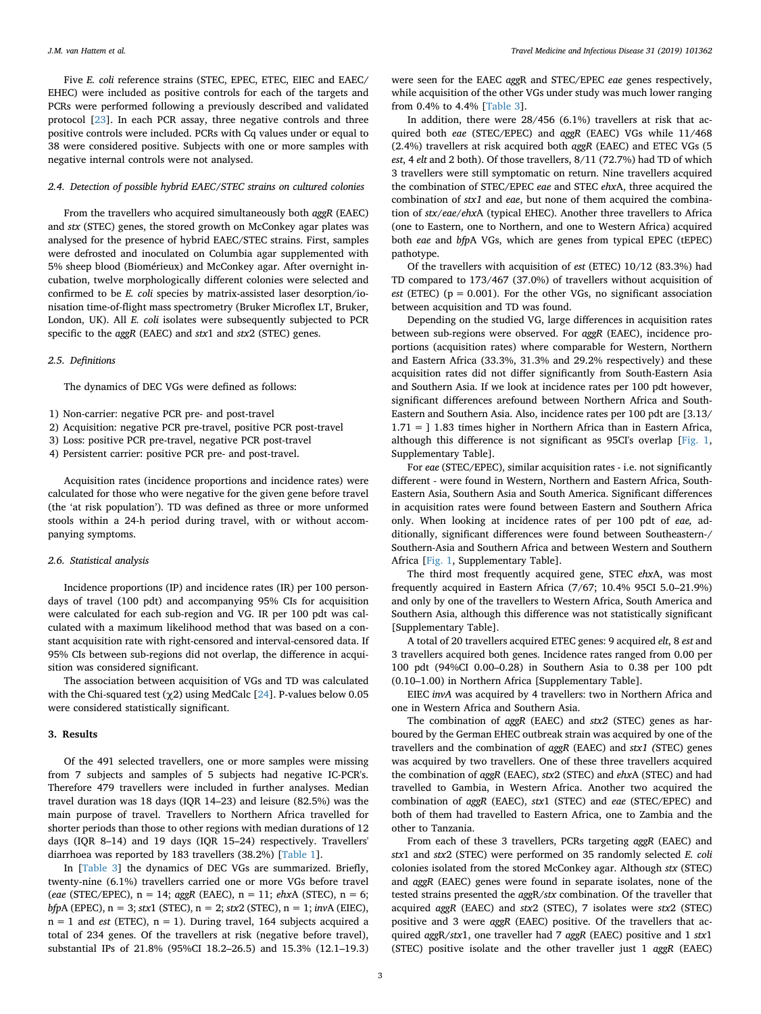Five *E. coli* reference strains (STEC, EPEC, ETEC, EIEC and EAEC/ EHEC) were included as positive controls for each of the targets and PCRs were performed following a previously described and validated protocol [\[23](#page-6-17)]. In each PCR assay, three negative controls and three positive controls were included. PCRs with Cq values under or equal to 38 were considered positive. Subjects with one or more samples with negative internal controls were not analysed.

# *2.4. Detection of possible hybrid EAEC/STEC strains on cultured colonies*

From the travellers who acquired simultaneously both *aggR* (EAEC) and *stx* (STEC) genes, the stored growth on McConkey agar plates was analysed for the presence of hybrid EAEC/STEC strains. First, samples were defrosted and inoculated on Columbia agar supplemented with 5% sheep blood (Biomérieux) and McConkey agar. After overnight incubation, twelve morphologically different colonies were selected and confirmed to be *E. coli* species by matrix-assisted laser desorption/ionisation time-of-flight mass spectrometry (Bruker Microflex LT, Bruker, London, UK). All *E. coli* isolates were subsequently subjected to PCR specific to the *aggR* (EAEC) and *stx*1 and *stx*2 (STEC) genes.

#### *2.5. Definitions*

The dynamics of DEC VGs were defined as follows:

1) Non-carrier: negative PCR pre- and post-travel

- 2) Acquisition: negative PCR pre-travel, positive PCR post-travel
- 3) Loss: positive PCR pre-travel, negative PCR post-travel
- 4) Persistent carrier: positive PCR pre- and post-travel.

Acquisition rates (incidence proportions and incidence rates) were calculated for those who were negative for the given gene before travel (the 'at risk population'). TD was defined as three or more unformed stools within a 24-h period during travel, with or without accompanying symptoms.

## *2.6. Statistical analysis*

Incidence proportions (IP) and incidence rates (IR) per 100 persondays of travel (100 pdt) and accompanying 95% CIs for acquisition were calculated for each sub-region and VG. IR per 100 pdt was calculated with a maximum likelihood method that was based on a constant acquisition rate with right-censored and interval-censored data. If 95% CIs between sub-regions did not overlap, the difference in acquisition was considered significant.

The association between acquisition of VGs and TD was calculated with the Chi-squared test (χ2) using MedCalc [[24\]](#page-6-18). P-values below 0.05 were considered statistically significant.

## **3. Results**

Of the 491 selected travellers, one or more samples were missing from 7 subjects and samples of 5 subjects had negative IC-PCR's. Therefore 479 travellers were included in further analyses. Median travel duration was 18 days (IQR 14–23) and leisure (82.5%) was the main purpose of travel. Travellers to Northern Africa travelled for shorter periods than those to other regions with median durations of 12 days (IQR 8–14) and 19 days (IQR 15–24) respectively. Travellers' diarrhoea was reported by 183 travellers (38.2%) [[Table 1](#page-1-0)].

In [\[Table 3](#page-3-0)] the dynamics of DEC VGs are summarized. Briefly, twenty-nine (6.1%) travellers carried one or more VGs before travel (*eae* (STEC/EPEC), n = 14; *aggR* (EAEC), n = 11; *ehx*A (STEC), n = 6; *bfpA* (EPEC),  $n = 3$ ; *stx*1 (STEC),  $n = 2$ ; *stx*2 (STEC),  $n = 1$ ; *invA* (EIEC),  $n = 1$  and *est* (ETEC),  $n = 1$ ). During travel, 164 subjects acquired a total of 234 genes. Of the travellers at risk (negative before travel), substantial IPs of 21.8% (95%CI 18.2–26.5) and 15.3% (12.1–19.3)

were seen for the EAEC *agg*R and STEC/EPEC *eae* genes respectively, while acquisition of the other VGs under study was much lower ranging from 0.4% to 4.4% [[Table 3](#page-3-0)].

In addition, there were 28/456 (6.1%) travellers at risk that acquired both *eae* (STEC/EPEC) and *aggR* (EAEC) VGs while 11/468 (2.4%) travellers at risk acquired both *aggR* (EAEC) and ETEC VGs (5 *est*, 4 *elt* and 2 both). Of those travellers, 8/11 (72.7%) had TD of which 3 travellers were still symptomatic on return. Nine travellers acquired the combination of STEC/EPEC *eae* and STEC *ehx*A, three acquired the combination of *stx1* and *eae*, but none of them acquired the combination of *stx*/*eae*/*ehx*A (typical EHEC). Another three travellers to Africa (one to Eastern, one to Northern, and one to Western Africa) acquired both *eae* and *bfp*A VGs, which are genes from typical EPEC (tEPEC) pathotype.

Of the travellers with acquisition of *est* (ETEC) 10/12 (83.3%) had TD compared to 173/467 (37.0%) of travellers without acquisition of *est* (ETEC) ( $p = 0.001$ ). For the other VGs, no significant association between acquisition and TD was found.

Depending on the studied VG, large differences in acquisition rates between sub-regions were observed. For *aggR* (EAEC), incidence proportions (acquisition rates) where comparable for Western, Northern and Eastern Africa (33.3%, 31.3% and 29.2% respectively) and these acquisition rates did not differ significantly from South-Eastern Asia and Southern Asia. If we look at incidence rates per 100 pdt however, significant differences arefound between Northern Africa and South-Eastern and Southern Asia. Also, incidence rates per 100 pdt are [3.13/ 1.71 = ] 1.83 times higher in Northern Africa than in Eastern Africa, although this difference is not significant as 95CI's overlap [[Fig. 1](#page-5-0), Supplementary Table].

For *eae* (STEC/EPEC), similar acquisition rates - i.e. not significantly different - were found in Western, Northern and Eastern Africa, South-Eastern Asia, Southern Asia and South America. Significant differences in acquisition rates were found between Eastern and Southern Africa only. When looking at incidence rates of per 100 pdt of *eae,* additionally, significant differences were found between Southeastern-/ Southern-Asia and Southern Africa and between Western and Southern Africa [[Fig. 1](#page-5-0), Supplementary Table].

The third most frequently acquired gene, STEC *ehx*A, was most frequently acquired in Eastern Africa (7/67; 10.4% 95CI 5.0–21.9%) and only by one of the travellers to Western Africa, South America and Southern Asia, although this difference was not statistically significant [Supplementary Table].

A total of 20 travellers acquired ETEC genes: 9 acquired *elt*, 8 *est* and 3 travellers acquired both genes. Incidence rates ranged from 0.00 per 100 pdt (94%CI 0.00–0.28) in Southern Asia to 0.38 per 100 pdt (0.10–1.00) in Northern Africa [Supplementary Table].

EIEC *invA* was acquired by 4 travellers: two in Northern Africa and one in Western Africa and Southern Asia.

The combination of *aggR* (EAEC) and *stx2* (STEC) genes as harboured by the German EHEC outbreak strain was acquired by one of the travellers and the combination of *aggR* (EAEC) and *stx1 (*STEC) genes was acquired by two travellers. One of these three travellers acquired the combination of *aggR* (EAEC), *stx*2 (STEC) and *ehx*A (STEC) and had travelled to Gambia, in Western Africa. Another two acquired the combination of *aggR* (EAEC), *stx*1 (STEC) and *eae* (STEC/EPEC) and both of them had travelled to Eastern Africa, one to Zambia and the other to Tanzania.

From each of these 3 travellers, PCRs targeting *aggR* (EAEC) and *stx*1 and *stx*2 (STEC) were performed on 35 randomly selected *E. coli* colonies isolated from the stored McConkey agar. Although *stx* (STEC) and *aggR* (EAEC) genes were found in separate isolates, none of the tested strains presented the *agg*R/*stx* combination. Of the traveller that acquired *aggR* (EAEC) and *stx*2 (STEC), 7 isolates were *stx*2 (STEC) positive and 3 were *aggR* (EAEC) positive. Of the travellers that acquired *agg*R/*stx*1, one traveller had 7 *aggR* (EAEC) positive and 1 *stx*1 (STEC) positive isolate and the other traveller just 1 *aggR* (EAEC)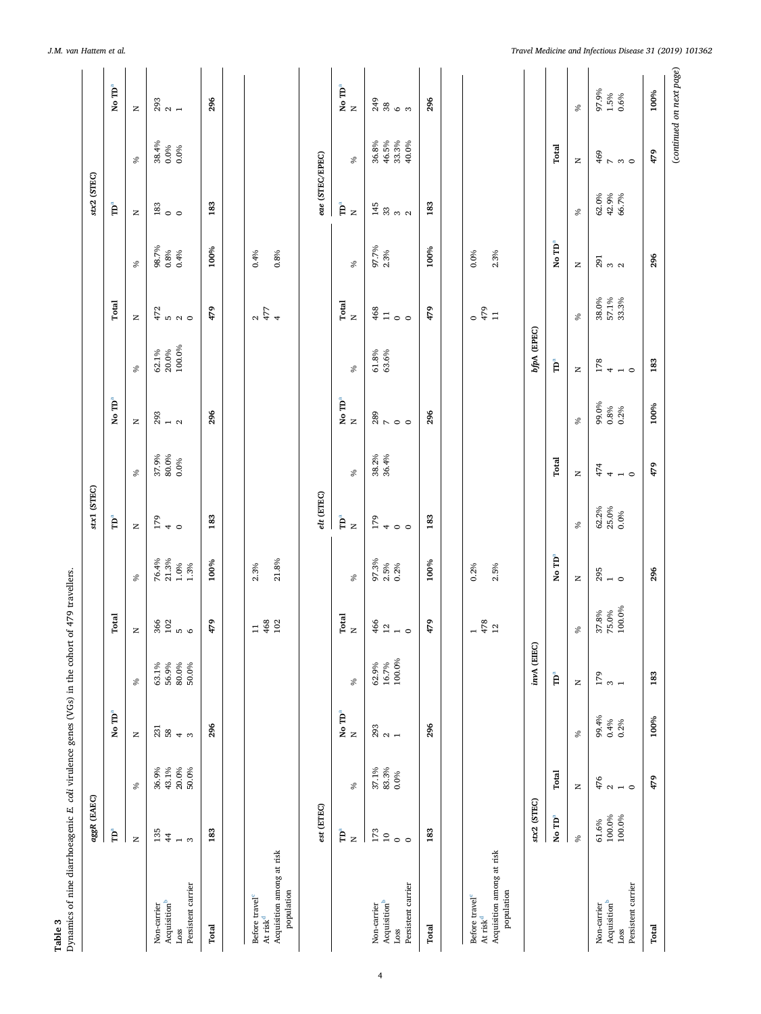<span id="page-3-0"></span>

|                                                                                                                          | aggR (EAEC)                                         |                                                          |                                 |                                                                     |                                                            |                                   | Stx1 (STEC)                                              |                        |                                         |                                |                                                           |                                 | stx2 (STEC)                                      |                                                                         |                               |
|--------------------------------------------------------------------------------------------------------------------------|-----------------------------------------------------|----------------------------------------------------------|---------------------------------|---------------------------------------------------------------------|------------------------------------------------------------|-----------------------------------|----------------------------------------------------------|------------------------|-----------------------------------------|--------------------------------|-----------------------------------------------------------|---------------------------------|--------------------------------------------------|-------------------------------------------------------------------------|-------------------------------|
|                                                                                                                          | $\mathbf{\hat{P}}^a$                                |                                                          | No TD <sup>a</sup>              |                                                                     | Total                                                      |                                   | Ê                                                        |                        | No $\mathbf{TD}^a$                      |                                | Total                                                     |                                 | Ĕ                                                |                                                                         | No TD <sup>a</sup>            |
|                                                                                                                          | $\simeq$                                            | $\delta$                                                 | $\mathsf{z}$                    | $\%$                                                                | $\mathord{\succeq}$                                        | $\delta$                          | $\mathsf{z}$                                             | $\mathcal{S}$          | $\mathord{\succeq}$                     | $\delta$                       | $\mathsf{z}$                                              | $\delta$                        | $\mathsf{z}$                                     | $\delta$                                                                | $\mathsf{z}$                  |
| Persistent carrier<br>Acquisition <sup>b</sup><br>Non-carrier<br>Loss                                                    | 135<br>$\frac{44}{3}$<br>$\overline{ }$<br>$\infty$ | 43.1%<br>20.0%<br>36.9%<br>50.0%                         | 231<br>$58\,$<br>4 <sub>o</sub> | $\begin{array}{l} 63.1\% \\ 56.9\% \\ 80.0\% \\ 50.0\% \end{array}$ | $360$<br>$100$<br>$6$                                      | $76.4\%$<br>21.3%<br>1.0%<br>1.3% | $\frac{62}{5}$ + 0                                       | 37.9%<br>80.0%<br>0.0% | $\begin{array}{c} 293 \\ 1 \end{array}$ | 100.0%<br>$62.1\%$<br>$20.0\%$ | $472$<br>$45$<br>$0$<br>$0$                               | 98.7%<br>0.8%<br>0.4%           | $\begin{smallmatrix} 183 \\ 0 \end{smallmatrix}$ | $\frac{38.4\%}{0.0\%}$                                                  | $\frac{293}{21}$              |
| Total                                                                                                                    | 183                                                 |                                                          | 296                             |                                                                     | 479                                                        | 100%                              | 183                                                      |                        | 296                                     |                                | 479                                                       | 100%                            | 183                                              |                                                                         | 296                           |
| Acquisition among at risk<br>population<br>Before travel <sup>c</sup><br>At risk <sup>d</sup>                            |                                                     |                                                          |                                 |                                                                     | $\frac{468}{102}$<br>$\Xi$                                 | 21.8%<br>2.3%                     |                                                          |                        |                                         |                                | 777                                                       | 0.4%<br>$0.8\%$                 |                                                  |                                                                         |                               |
|                                                                                                                          | est (ETEC)                                          |                                                          |                                 |                                                                     |                                                            |                                   | $et$ (ETEC)                                              |                        |                                         |                                |                                                           |                                 | $eae$ (STEC/EPEC)                                |                                                                         |                               |
|                                                                                                                          | Ĕ<br>$\geq$                                         | $\%$                                                     | $\rm No\; TD^a$<br>$\geq$       | $\%$                                                                | $_{\rm{N}}^{\rm{Total}}$                                   | $\delta$                          | Å<br>$\mathbf{z}$                                        | $\%$                   | No $\mathbf{T}\mathbf{D}^a$             | $\%$                           | $_{\rm N}^{\rm Total}$                                    | $\delta$                        | Ê<br>$\mathbf{z}$                                | $\delta$                                                                | No $\mathbf{T}\mathbf{D}^a$ N |
| Persistent carrier<br>Acquisition <sup>b</sup><br>Non-carrier<br>Loss                                                    | 173<br>$10$<br>$\circ$                              | $\begin{array}{l} 37.1\% \\ 83.3\% \\ 0.0\% \end{array}$ | $\frac{23}{2}$ $\frac{1}{1}$    | $16.7\%$<br>$100.0\%$<br>62.9%                                      | $\frac{466}{12}$                                           | 97.3%<br>2.5%<br>0.2%             | 179<br>$\circ$ $\circ$                                   | 38.2%<br>36.4%         | $89$<br>$700$                           | $61.8%$<br>$63.6%$             | $468$<br>11<br>$\circ$ $\circ$                            | 97.7%<br>2.3%                   | $\frac{45}{3}$ $\frac{3}{2}$ $\frac{3}{2}$       | $\begin{array}{l} 36.8\% \\ 46.5\% \\ 43.3\% \\ 40.0\% \end{array}$     | $\frac{49}{3}$ % $\circ$ %    |
| Total                                                                                                                    | 183                                                 |                                                          | 296                             |                                                                     | 479                                                        | 100%                              | 183                                                      |                        | 296                                     |                                | 479                                                       | 100%                            | 183                                              |                                                                         | 296                           |
| Acquisition among at risk<br>population<br>Before travel <sup>c</sup><br>At $\ensuremath{\mathrm{risk}}\xspace^\text{d}$ |                                                     |                                                          |                                 |                                                                     | $\frac{478}{12}$<br>$\overline{\phantom{a}}$               | $0.2\%$<br>2.5%                   |                                                          |                        |                                         |                                | $rac{479}{479}$<br>$\mathbf{H}$                           | $0.0\%$<br>2.3%                 |                                                  |                                                                         |                               |
|                                                                                                                          | stx2 (STEC)                                         |                                                          |                                 | invA (EIEC)                                                         |                                                            |                                   |                                                          |                        |                                         | bfpA (EPEC)                    |                                                           |                                 |                                                  |                                                                         |                               |
|                                                                                                                          | No ${\rm \bf TD}^a$                                 | Total                                                    |                                 | <b>P</b> <sup>a</sup>                                               |                                                            | No TD <sup>a</sup>                |                                                          | Total                  |                                         | Å                              |                                                           | No TD <sup>a</sup>              |                                                  | Total                                                                   |                               |
|                                                                                                                          | $\%$                                                | z                                                        | $\%$                            | $\mathsf{z}$                                                        | $\%$                                                       | $\simeq$                          | $\%$                                                     | $\mathsf{z}$           | ℅                                       | z                              | $\%$                                                      | $\mathsf{z}$                    | $\%$                                             | $\simeq$                                                                | $\%$                          |
| Persistent carrier<br>$\mbox{Acquistion}^{\mbox{\tiny\rm b}}$<br>Non-carrier<br>$_{\rm LOS}$                             | $100.0\%$<br>$100.0\%$<br>61.6%                     | 476<br>$\mathbf{\Omega}$<br>$\overline{a}$               | 99.4%<br>0.4%<br>0.2%           | 179<br>$\infty$ $\rightarrow$                                       | $\begin{array}{l} 37.8\% \\ 75.0\% \\ 100.0\% \end{array}$ | $295$<br>$10$                     | $\begin{array}{l} 62.2\% \\ 25.0\% \\ 0.0\% \end{array}$ | $44 - 0$               | 99.0%<br>0.8%<br>0.2%                   | $\frac{178}{4}$ - 0            | $\begin{array}{l} 38.0\% \\ 57.1\% \\ 33.3\% \end{array}$ | $\overline{a}$ ສ $\overline{a}$ | $62.0%$<br>$42.9%$<br>$66.7%$                    | $\overset{\circ}{\ast}$ $\overset{\circ}{\ast}$ $\overset{\circ}{\ast}$ | 97.9%<br>1.5%<br>0.6%         |
| Total                                                                                                                    |                                                     | 479                                                      | 100%                            | 183                                                                 |                                                            | 296                               |                                                          | 479                    | 100%                                    | 183                            |                                                           | 296                             |                                                  | 479                                                                     | 100%                          |
|                                                                                                                          |                                                     |                                                          |                                 |                                                                     |                                                            |                                   |                                                          |                        |                                         |                                |                                                           |                                 |                                                  |                                                                         | (continued on next page)      |

*J.M. van Hattem et al. Travel Medicine and Infectious Disease 31 (2019) 101362*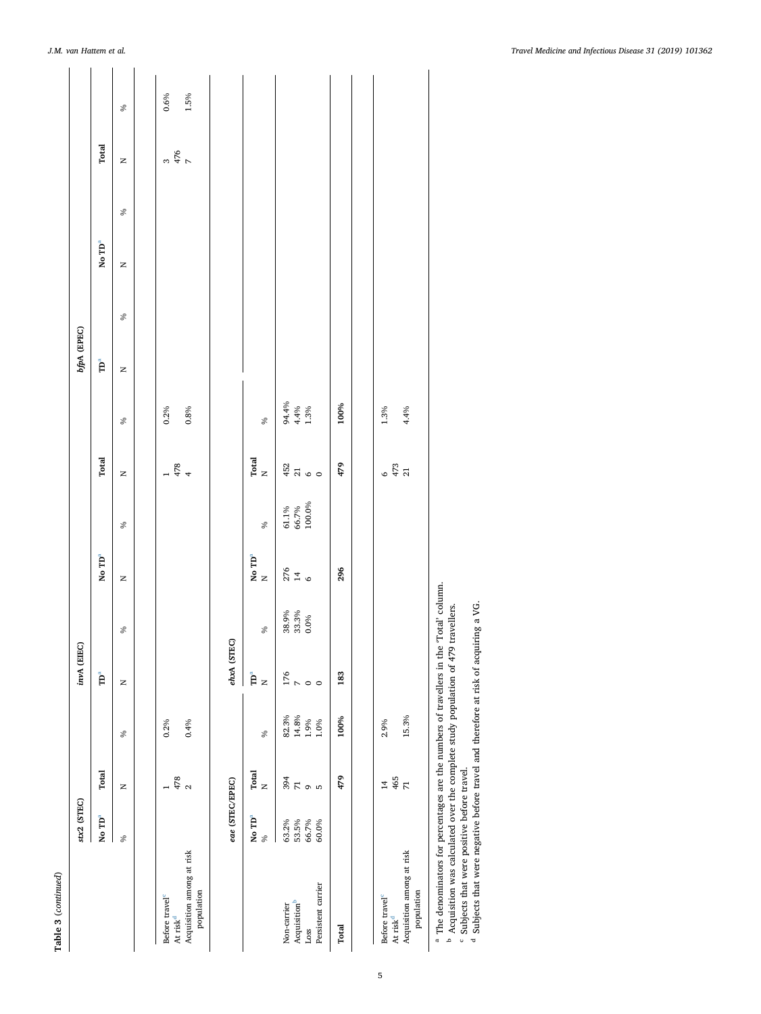| Ξ      |
|--------|
| ĺ      |
| с<br>٦ |
| ¢      |
| ۵<br>¢ |
|        |

<span id="page-4-3"></span><span id="page-4-2"></span><span id="page-4-1"></span><span id="page-4-0"></span>

|                                                                                                                                                                                                                                                                | stx2 (STEC)                    |                            |                | invA (EIEC)                              |                        |                               |                                                            |                        |                                | bfpA (EPEC) |      |                    |      |       |          |
|----------------------------------------------------------------------------------------------------------------------------------------------------------------------------------------------------------------------------------------------------------------|--------------------------------|----------------------------|----------------|------------------------------------------|------------------------|-------------------------------|------------------------------------------------------------|------------------------|--------------------------------|-------------|------|--------------------|------|-------|----------|
|                                                                                                                                                                                                                                                                | No $\mathbf{TD}^a$             | Total                      |                | $\mathbf{\tilde{P}}^a$                   |                        | No TD <sup>a</sup>            |                                                            | Total                  |                                | ์<br>คิ     |      | No $\mathbf{ID}^a$ |      | Total |          |
|                                                                                                                                                                                                                                                                | $\%$                           | Z                          | $\%$           | z                                        | $\%$                   | $\mathsf{z}$                  | $\%$                                                       | z                      | $\%$                           | z           | $\%$ | Z                  | $\%$ | z     | $\delta$ |
| Before travel <sup>c</sup>                                                                                                                                                                                                                                     |                                |                            | $0.2\%$        |                                          |                        |                               |                                                            |                        | $0.2\%$                        |             |      |                    |      |       | 0.6%     |
| Acquisition among at risk<br>population<br>At risk <sup>d</sup>                                                                                                                                                                                                |                                | $\frac{478}{2}$            | 0.4%           |                                          |                        |                               |                                                            | 478                    | 0.8%                           |             |      |                    |      | 3476  | 1.5%     |
|                                                                                                                                                                                                                                                                | eae (STEC/EPEC)                |                            |                | ehxA (STEC)                              |                        |                               |                                                            |                        |                                |             |      |                    |      |       |          |
|                                                                                                                                                                                                                                                                | No $\mathbf{ID}^a$<br>$\delta$ | $_{\rm I~out}^{\rm Total}$ | $\delta_0$     | $\mathbf{\tilde{D}}^a$<br>$\overline{z}$ | $\%$                   | No $\mathbf{T}\mathbf{D}^a$ N | $\%$                                                       | $_{\rm N}^{\rm Total}$ | $\%$                           |             |      |                    |      |       |          |
| Acquisition <sup>b</sup><br>Non-carrier                                                                                                                                                                                                                        | 63.2%<br>53.5%                 | 394                        | 82.3%<br>14.8% | $\frac{176}{D}$                          | 38.9%<br>33.3%<br>0.0% | $\frac{276}{14}$              | $\begin{array}{l} 61.1\% \\ 66.7\% \\ 100.0\% \end{array}$ | $452$<br>$700$         | $94.4\%$<br>$4.4\%$<br>$1.3\%$ |             |      |                    |      |       |          |
| Persistent carrier<br>Loss                                                                                                                                                                                                                                     | 66.7%<br>60.0%                 | $\overline{R}$ on          | 1.9%<br>1.0%   |                                          |                        |                               |                                                            |                        |                                |             |      |                    |      |       |          |
| Total                                                                                                                                                                                                                                                          |                                | 479                        | 100%           | 183                                      |                        | 296                           |                                                            | 479                    | 100%                           |             |      |                    |      |       |          |
| Before travel <sup>c</sup>                                                                                                                                                                                                                                     |                                | $\overline{14}$            | 2.9%           |                                          |                        |                               |                                                            |                        | 1.3%                           |             |      |                    |      |       |          |
| At risk $d$                                                                                                                                                                                                                                                    |                                | 465<br>71                  |                |                                          |                        |                               |                                                            | $6\frac{473}{41}$      |                                |             |      |                    |      |       |          |
| Acquisition among at risk<br>population                                                                                                                                                                                                                        |                                |                            | 15.3%          |                                          |                        |                               |                                                            |                        | 4.4%                           |             |      |                    |      |       |          |
| <sup>a</sup> The denominators for percentages are the numbers of travellers in the 'Total' column.<br><sup>b</sup> Acquisition was calculated over the complete study population of 479 travellers.<br><sup>c</sup> Subjects that were positive before travel. |                                |                            |                |                                          |                        |                               |                                                            |                        |                                |             |      |                    |      |       |          |

*J.M. van Hattem et al. Travel Medicine and Infectious Disease 31 (2019) 101362*

Subjects that were negative before travel and therefore at risk of acquiring a VG.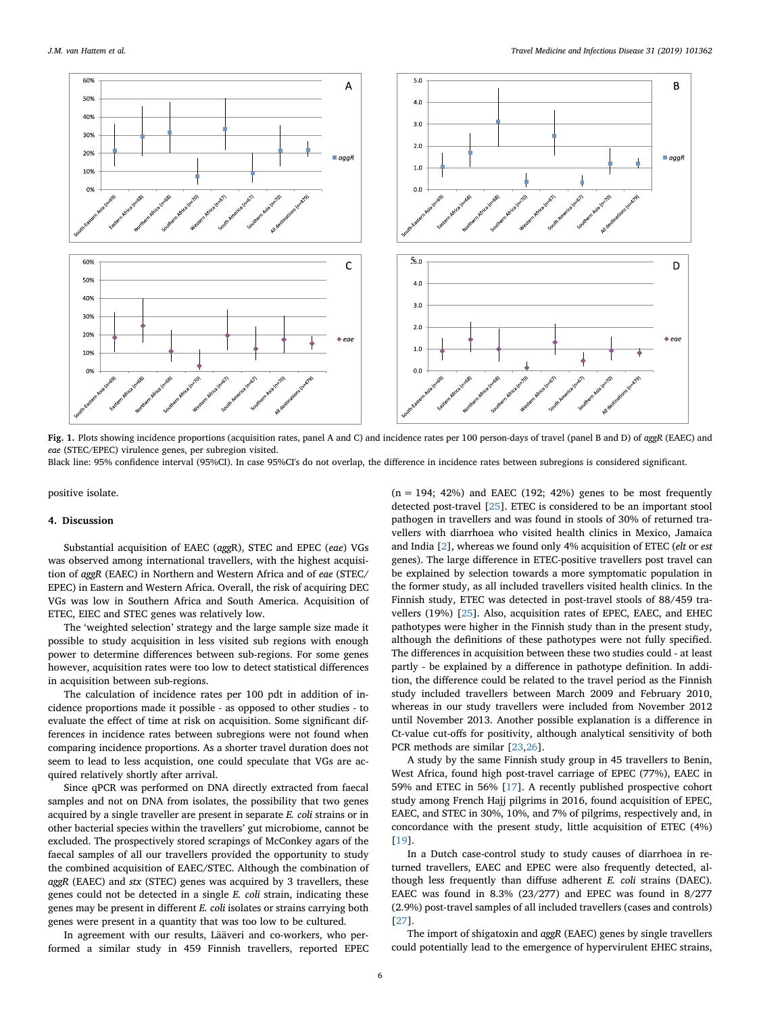<span id="page-5-0"></span>

**Fig. 1.** Plots showing incidence proportions (acquisition rates, panel A and C) and incidence rates per 100 person-days of travel (panel B and D) of *aggR* (EAEC) and *eae* (STEC/EPEC) virulence genes, per subregion visited.

Black line: 95% confidence interval (95%CI). In case 95%CI's do not overlap, the difference in incidence rates between subregions is considered significant.

positive isolate.

# **4. Discussion**

Substantial acquisition of EAEC (*agg*R), STEC and EPEC (*eae*) VGs was observed among international travellers, with the highest acquisition of *aggR* (EAEC) in Northern and Western Africa and of *eae* (STEC/ EPEC) in Eastern and Western Africa. Overall, the risk of acquiring DEC VGs was low in Southern Africa and South America. Acquisition of ETEC, EIEC and STEC genes was relatively low.

The 'weighted selection' strategy and the large sample size made it possible to study acquisition in less visited sub regions with enough power to determine differences between sub-regions. For some genes however, acquisition rates were too low to detect statistical differences in acquisition between sub-regions.

The calculation of incidence rates per 100 pdt in addition of incidence proportions made it possible - as opposed to other studies - to evaluate the effect of time at risk on acquisition. Some significant differences in incidence rates between subregions were not found when comparing incidence proportions. As a shorter travel duration does not seem to lead to less acquistion, one could speculate that VGs are acquired relatively shortly after arrival.

Since qPCR was performed on DNA directly extracted from faecal samples and not on DNA from isolates, the possibility that two genes acquired by a single traveller are present in separate *E. coli* strains or in other bacterial species within the travellers' gut microbiome, cannot be excluded. The prospectively stored scrapings of McConkey agars of the faecal samples of all our travellers provided the opportunity to study the combined acquisition of EAEC/STEC. Although the combination of *aggR* (EAEC) and *stx* (STEC) genes was acquired by 3 travellers, these genes could not be detected in a single *E. coli* strain, indicating these genes may be present in different *E. coli* isolates or strains carrying both genes were present in a quantity that was too low to be cultured.

In agreement with our results, Lääveri and co-workers, who performed a similar study in 459 Finnish travellers, reported EPEC  $(n = 194; 42%)$  and EAEC (192; 42%) genes to be most frequently detected post-travel [[25\]](#page-6-19). ETEC is considered to be an important stool pathogen in travellers and was found in stools of 30% of returned travellers with diarrhoea who visited health clinics in Mexico, Jamaica and India [\[2\]](#page-6-20), whereas we found only 4% acquisition of ETEC (*elt* or *est* genes). The large difference in ETEC-positive travellers post travel can be explained by selection towards a more symptomatic population in the former study, as all included travellers visited health clinics. In the Finnish study, ETEC was detected in post-travel stools of 88/459 travellers (19%) [\[25](#page-6-19)]. Also, acquisition rates of EPEC, EAEC, and EHEC pathotypes were higher in the Finnish study than in the present study, although the definitions of these pathotypes were not fully specified. The differences in acquisition between these two studies could - at least partly - be explained by a difference in pathotype definition. In addition, the difference could be related to the travel period as the Finnish study included travellers between March 2009 and February 2010, whereas in our study travellers were included from November 2012 until November 2013. Another possible explanation is a difference in Ct-value cut-offs for positivity, although analytical sensitivity of both PCR methods are similar [[23,](#page-6-17)[26\]](#page-6-21).

A study by the same Finnish study group in 45 travellers to Benin, West Africa, found high post-travel carriage of EPEC (77%), EAEC in 59% and ETEC in 56% [\[17](#page-6-22)]. A recently published prospective cohort study among French Hajj pilgrims in 2016, found acquisition of EPEC, EAEC, and STEC in 30%, 10%, and 7% of pilgrims, respectively and, in concordance with the present study, little acquisition of ETEC (4%) [[19\]](#page-6-23).

In a Dutch case-control study to study causes of diarrhoea in returned travellers, EAEC and EPEC were also frequently detected, although less frequently than diffuse adherent *E. coli* strains (DAEC). EAEC was found in 8.3% (23/277) and EPEC was found in 8/277 (2.9%) post-travel samples of all included travellers (cases and controls) [[27\]](#page-6-24).

The import of shigatoxin and *aggR* (EAEC) genes by single travellers could potentially lead to the emergence of hypervirulent EHEC strains,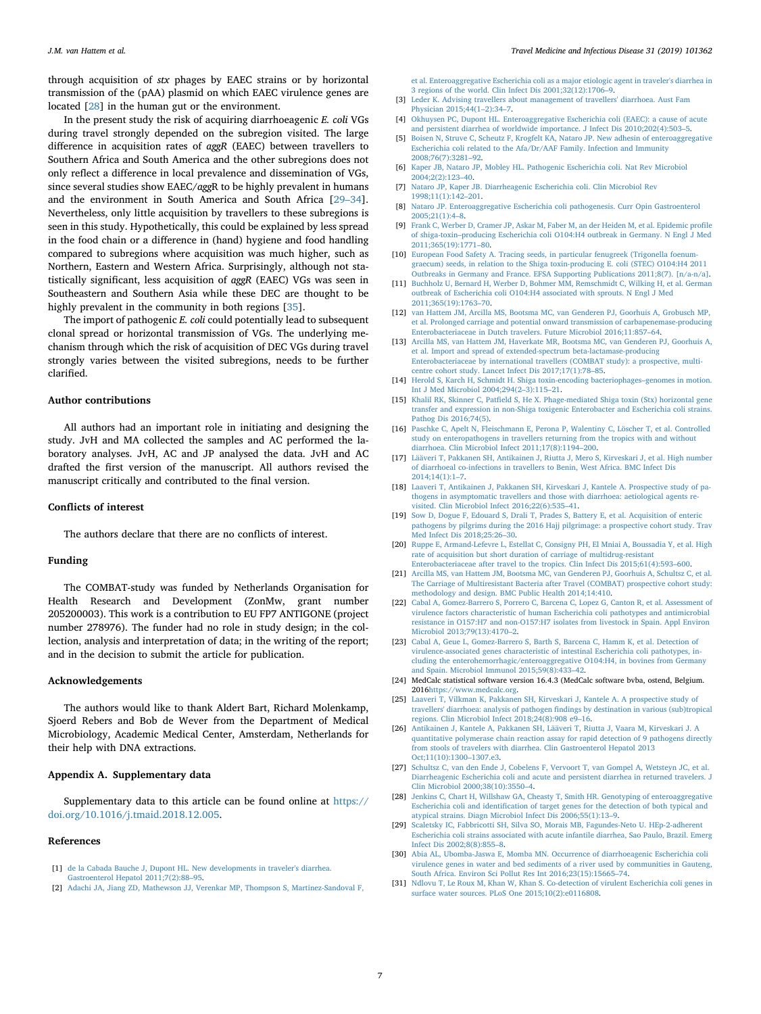through acquisition of *stx* phages by EAEC strains or by horizontal transmission of the (pAA) plasmid on which EAEC virulence genes are located [\[28](#page-6-25)] in the human gut or the environment.

In the present study the risk of acquiring diarrhoeagenic *E. coli* VGs during travel strongly depended on the subregion visited. The large difference in acquisition rates of *aggR* (EAEC) between travellers to Southern Africa and South America and the other subregions does not only reflect a difference in local prevalence and dissemination of VGs, since several studies show EAEC/*agg*R to be highly prevalent in humans and the environment in South America and South Africa [\[29–34](#page-6-26)]. Nevertheless, only little acquisition by travellers to these subregions is seen in this study. Hypothetically, this could be explained by less spread in the food chain or a difference in (hand) hygiene and food handling compared to subregions where acquisition was much higher, such as Northern, Eastern and Western Africa. Surprisingly, although not statistically significant, less acquisition of *aggR* (EAEC) VGs was seen in Southeastern and Southern Asia while these DEC are thought to be highly prevalent in the community in both regions [[35\]](#page-7-0).

The import of pathogenic *E. coli* could potentially lead to subsequent clonal spread or horizontal transmission of VGs. The underlying mechanism through which the risk of acquisition of DEC VGs during travel strongly varies between the visited subregions, needs to be further clarified.

# **Author contributions**

All authors had an important role in initiating and designing the study. JvH and MA collected the samples and AC performed the laboratory analyses. JvH, AC and JP analysed the data. JvH and AC drafted the first version of the manuscript. All authors revised the manuscript critically and contributed to the final version.

# **Conflicts of interest**

<span id="page-6-23"></span><span id="page-6-17"></span><span id="page-6-16"></span><span id="page-6-15"></span><span id="page-6-14"></span>The authors declare that there are no conflicts of interest.

# **Funding**

The COMBAT-study was funded by Netherlands Organisation for Health Research and Development (ZonMw, grant number 205200003). This work is a contribution to EU FP7 ANTIGONE (project number 278976). The funder had no role in study design; in the collection, analysis and interpretation of data; in the writing of the report; and in the decision to submit the article for publication.

# <span id="page-6-18"></span>**Acknowledgements**

<span id="page-6-21"></span><span id="page-6-19"></span>The authors would like to thank Aldert Bart, Richard Molenkamp, Sjoerd Rebers and Bob de Wever from the Department of Medical Microbiology, Academic Medical Center, Amsterdam, Netherlands for their help with DNA extractions.

# <span id="page-6-25"></span><span id="page-6-24"></span>**Appendix A. Supplementary data**

Supplementary data to this article can be found online at [https://](https://doi.org/10.1016/j.tmaid.2018.12.005) [doi.org/10.1016/j.tmaid.2018.12.005.](https://doi.org/10.1016/j.tmaid.2018.12.005)

# <span id="page-6-26"></span>**References**

- <span id="page-6-0"></span>[1] de la Cabada Bauche J, Dupont HL. New developments in traveler's diarrhea [Gastroenterol Hepatol 2011;7\(2\):88–95.](http://refhub.elsevier.com/S1477-8939(18)30448-4/sref1)
- <span id="page-6-20"></span>[2] [Adachi JA, Jiang ZD, Mathewson JJ, Verenkar MP, Thompson S, Martinez-Sandoval F,](http://refhub.elsevier.com/S1477-8939(18)30448-4/sref2)

[et al. Enteroaggregative Escherichia coli as a major etiologic agent in traveler's diarrhea in](http://refhub.elsevier.com/S1477-8939(18)30448-4/sref2) [3 regions of the world. Clin Infect Dis 2001;32\(12\):1706–9.](http://refhub.elsevier.com/S1477-8939(18)30448-4/sref2)

- [3] [Leder K. Advising travellers about management of travellers' diarrhoea. Aust Fam](http://refhub.elsevier.com/S1477-8939(18)30448-4/sref3) [Physician 2015;44\(1–2\):34–7.](http://refhub.elsevier.com/S1477-8939(18)30448-4/sref3)
- <span id="page-6-1"></span>[4] [Okhuysen PC, Dupont HL. Enteroaggregative Escherichia coli \(EAEC\): a cause of acute](http://refhub.elsevier.com/S1477-8939(18)30448-4/sref4) [and persistent diarrhea of worldwide importance. J Infect Dis 2010;202\(4\):503–5.](http://refhub.elsevier.com/S1477-8939(18)30448-4/sref4)
- <span id="page-6-2"></span>[5] [Boisen N, Struve C, Scheutz F, Krogfelt KA, Nataro JP. New adhesin of enteroaggregative](http://refhub.elsevier.com/S1477-8939(18)30448-4/sref5) [Escherichia coli related to the Afa/Dr/AAF Family. Infection and Immunity](http://refhub.elsevier.com/S1477-8939(18)30448-4/sref5) [2008;76\(7\):3281–92.](http://refhub.elsevier.com/S1477-8939(18)30448-4/sref5)
- <span id="page-6-22"></span><span id="page-6-13"></span><span id="page-6-12"></span><span id="page-6-11"></span><span id="page-6-10"></span><span id="page-6-9"></span><span id="page-6-8"></span><span id="page-6-7"></span><span id="page-6-6"></span><span id="page-6-5"></span><span id="page-6-4"></span><span id="page-6-3"></span>[6] [Kaper JB, Nataro JP, Mobley HL. Pathogenic Escherichia coli. Nat Rev Microbiol](http://refhub.elsevier.com/S1477-8939(18)30448-4/sref6)  $2004.2(2) \cdot 123 - 40$ 
	- [7] [Nataro JP, Kaper JB. Diarrheagenic Escherichia coli. Clin Microbiol Rev](http://refhub.elsevier.com/S1477-8939(18)30448-4/sref7) [1998;11\(1\):142–201.](http://refhub.elsevier.com/S1477-8939(18)30448-4/sref7)
	- [8] [Nataro JP. Enteroaggregative Escherichia coli pathogenesis. Curr Opin Gastroenterol](http://refhub.elsevier.com/S1477-8939(18)30448-4/sref8) [2005;21\(1\):4–8.](http://refhub.elsevier.com/S1477-8939(18)30448-4/sref8)
	- [9] [Frank C, Werber D, Cramer JP, Askar M, Faber M, an der Heiden M, et al. Epidemic profile](http://refhub.elsevier.com/S1477-8939(18)30448-4/sref9) [of shiga-toxin–producing Escherichia coli O104:H4 outbreak in Germany. N Engl J Med](http://refhub.elsevier.com/S1477-8939(18)30448-4/sref9) [2011;365\(19\):1771–80.](http://refhub.elsevier.com/S1477-8939(18)30448-4/sref9)
	- [10] [European Food Safety A. Tracing seeds, in particular fenugreek \(Trigonella foenum](http://refhub.elsevier.com/S1477-8939(18)30448-4/sref10)[graecum\) seeds, in relation to the Shiga toxin-producing E. coli \(STEC\) O104:H4 2011](http://refhub.elsevier.com/S1477-8939(18)30448-4/sref10) [Outbreaks in Germany and France. EFSA Supporting Publications 2011;8\(7\). \[n/a-n/a\].](http://refhub.elsevier.com/S1477-8939(18)30448-4/sref10)
	- [11] [Buchholz U, Bernard H, Werber D, Bohmer MM, Remschmidt C, Wilking H, et al. German](http://refhub.elsevier.com/S1477-8939(18)30448-4/sref11) [outbreak of Escherichia coli O104:H4 associated with sprouts. N Engl J Med](http://refhub.elsevier.com/S1477-8939(18)30448-4/sref11) [2011;365\(19\):1763–70.](http://refhub.elsevier.com/S1477-8939(18)30448-4/sref11)
	- [12] [van Hattem JM, Arcilla MS, Bootsma MC, van Genderen PJ, Goorhuis A, Grobusch MP,](http://refhub.elsevier.com/S1477-8939(18)30448-4/sref12) [et al. Prolonged carriage and potential onward transmission of carbapenemase-producing](http://refhub.elsevier.com/S1477-8939(18)30448-4/sref12) [Enterobacteriaceae in Dutch travelers. Future Microbiol 2016;11:857–64.](http://refhub.elsevier.com/S1477-8939(18)30448-4/sref12)
	- [13] [Arcilla MS, van Hattem JM, Haverkate MR, Bootsma MC, van Genderen PJ, Goorhuis A,](http://refhub.elsevier.com/S1477-8939(18)30448-4/sref13) [et al. Import and spread of extended-spectrum beta-lactamase-producing](http://refhub.elsevier.com/S1477-8939(18)30448-4/sref13) [Enterobacteriaceae by international travellers \(COMBAT study\): a prospective, multi](http://refhub.elsevier.com/S1477-8939(18)30448-4/sref13)[centre cohort study. Lancet Infect Dis 2017;17\(1\):78–85.](http://refhub.elsevier.com/S1477-8939(18)30448-4/sref13)
	- [14] [Herold S, Karch H, Schmidt H. Shiga toxin-encoding bacteriophages–genomes in motion.](http://refhub.elsevier.com/S1477-8939(18)30448-4/sref14) [Int J Med Microbiol 2004;294\(2–3\):115–21.](http://refhub.elsevier.com/S1477-8939(18)30448-4/sref14)
	- [15] [Khalil RK, Skinner C, Patfield S, He X. Phage-mediated Shiga toxin \(Stx\) horizontal gene](http://refhub.elsevier.com/S1477-8939(18)30448-4/sref15) [transfer and expression in non-Shiga toxigenic Enterobacter and Escherichia coli strains.](http://refhub.elsevier.com/S1477-8939(18)30448-4/sref15) [Pathog Dis 2016;74\(5\).](http://refhub.elsevier.com/S1477-8939(18)30448-4/sref15)
	- [16] [Paschke C, Apelt N, Fleischmann E, Perona P, Walentiny C, Löscher T, et al. Controlled](http://refhub.elsevier.com/S1477-8939(18)30448-4/sref16) [study on enteropathogens in travellers returning from the tropics with and without](http://refhub.elsevier.com/S1477-8939(18)30448-4/sref16) [diarrhoea. Clin Microbiol Infect 2011;17\(8\):1194–200.](http://refhub.elsevier.com/S1477-8939(18)30448-4/sref16)
	- [17] [Lääveri T, Pakkanen SH, Antikainen J, Riutta J, Mero S, Kirveskari J, et al. High number](http://refhub.elsevier.com/S1477-8939(18)30448-4/sref17) [of diarrhoeal co-infections in travellers to Benin, West Africa. BMC Infect Dis](http://refhub.elsevier.com/S1477-8939(18)30448-4/sref17) [2014;14\(1\):1–7.](http://refhub.elsevier.com/S1477-8939(18)30448-4/sref17)
	- [18] [Laaveri T, Antikainen J, Pakkanen SH, Kirveskari J, Kantele A. Prospective study of pa](http://refhub.elsevier.com/S1477-8939(18)30448-4/sref18)[thogens in asymptomatic travellers and those with diarrhoea: aetiological agents re](http://refhub.elsevier.com/S1477-8939(18)30448-4/sref18)[visited. Clin Microbiol Infect 2016;22\(6\):535–41.](http://refhub.elsevier.com/S1477-8939(18)30448-4/sref18)
	- [19] [Sow D, Dogue F, Edouard S, Drali T, Prades S, Battery E, et al. Acquisition of enteric](http://refhub.elsevier.com/S1477-8939(18)30448-4/sref19) [pathogens by pilgrims during the 2016 Hajj pilgrimage: a prospective cohort study. Trav](http://refhub.elsevier.com/S1477-8939(18)30448-4/sref19) [Med Infect Dis 2018;25:26–30.](http://refhub.elsevier.com/S1477-8939(18)30448-4/sref19)
	- [20] [Ruppe E, Armand-Lefevre L, Estellat C, Consigny PH, El Mniai A, Boussadia Y, et al. High](http://refhub.elsevier.com/S1477-8939(18)30448-4/sref20) [rate of acquisition but short duration of carriage of multidrug-resistant](http://refhub.elsevier.com/S1477-8939(18)30448-4/sref20) [Enterobacteriaceae after travel to the tropics. Clin Infect Dis 2015;61\(4\):593–600.](http://refhub.elsevier.com/S1477-8939(18)30448-4/sref20)
	- [21] [Arcilla MS, van Hattem JM, Bootsma MC, van Genderen PJ, Goorhuis A, Schultsz C, et al.](http://refhub.elsevier.com/S1477-8939(18)30448-4/sref21) [The Carriage of Multiresistant Bacteria after Travel \(COMBAT\) prospective cohort study:](http://refhub.elsevier.com/S1477-8939(18)30448-4/sref21) [methodology and design. BMC Public Health 2014;14:410.](http://refhub.elsevier.com/S1477-8939(18)30448-4/sref21)
	- [22] [Cabal A, Gomez-Barrero S, Porrero C, Barcena C, Lopez G, Canton R, et al. Assessment of](http://refhub.elsevier.com/S1477-8939(18)30448-4/sref22) [virulence factors characteristic of human Escherichia coli pathotypes and antimicrobial](http://refhub.elsevier.com/S1477-8939(18)30448-4/sref22) [resistance in O157:H7 and non-O157:H7 isolates from livestock in Spain. Appl Environ](http://refhub.elsevier.com/S1477-8939(18)30448-4/sref22) [Microbiol 2013;79\(13\):4170–2.](http://refhub.elsevier.com/S1477-8939(18)30448-4/sref22)
	- [23] [Cabal A, Geue L, Gomez-Barrero S, Barth S, Barcena C, Hamm K, et al. Detection of](http://refhub.elsevier.com/S1477-8939(18)30448-4/sref23) [virulence-associated genes characteristic of intestinal Escherichia coli pathotypes, in](http://refhub.elsevier.com/S1477-8939(18)30448-4/sref23)[cluding the enterohemorrhagic/enteroaggregative O104:H4, in bovines from Germany](http://refhub.elsevier.com/S1477-8939(18)30448-4/sref23) [and Spain. Microbiol Immunol 2015;59\(8\):433–42.](http://refhub.elsevier.com/S1477-8939(18)30448-4/sref23)
	- [24] MedCalc statistical software version 16.4.3 (MedCalc software bvba, ostend, Belgium. 2016<https://www.medcalc.org>.
	- [25] [Laaveri T, Vilkman K, Pakkanen SH, Kirveskari J, Kantele A. A prospective study of](http://refhub.elsevier.com/S1477-8939(18)30448-4/sref25) [travellers' diarrhoea: analysis of pathogen findings by destination in various \(sub\)tropical](http://refhub.elsevier.com/S1477-8939(18)30448-4/sref25) [regions. Clin Microbiol Infect 2018;24\(8\):908 e9–16.](http://refhub.elsevier.com/S1477-8939(18)30448-4/sref25)
	- [26] [Antikainen J, Kantele A, Pakkanen SH, Lääveri T, Riutta J, Vaara M, Kirveskari J. A](http://refhub.elsevier.com/S1477-8939(18)30448-4/sref26) [quantitative polymerase chain reaction assay for rapid detection of 9 pathogens directly](http://refhub.elsevier.com/S1477-8939(18)30448-4/sref26) [from stools of travelers with diarrhea. Clin Gastroenterol Hepatol 2013](http://refhub.elsevier.com/S1477-8939(18)30448-4/sref26) [Oct;11\(10\):1300–1307.e3.](http://refhub.elsevier.com/S1477-8939(18)30448-4/sref26)
	- [27] [Schultsz C, van den Ende J, Cobelens F, Vervoort T, van Gompel A, Wetsteyn JC, et al.](http://refhub.elsevier.com/S1477-8939(18)30448-4/sref27) [Diarrheagenic Escherichia coli and acute and persistent diarrhea in returned travelers. J](http://refhub.elsevier.com/S1477-8939(18)30448-4/sref27) [Clin Microbiol 2000;38\(10\):3550–4.](http://refhub.elsevier.com/S1477-8939(18)30448-4/sref27)
	- [28] [Jenkins C, Chart H, Willshaw GA, Cheasty T, Smith HR. Genotyping of enteroaggregative](http://refhub.elsevier.com/S1477-8939(18)30448-4/sref28) [Escherichia coli and identification of target genes for the detection of both typical and](http://refhub.elsevier.com/S1477-8939(18)30448-4/sref28) [atypical strains. Diagn Microbiol Infect Dis 2006;55\(1\):13–9.](http://refhub.elsevier.com/S1477-8939(18)30448-4/sref28)
	- [29] [Scaletsky IC, Fabbricotti SH, Silva SO, Morais MB, Fagundes-Neto U. HEp-2-adherent](http://refhub.elsevier.com/S1477-8939(18)30448-4/sref29) [Escherichia coli strains associated with acute infantile diarrhea, Sao Paulo, Brazil. Emerg](http://refhub.elsevier.com/S1477-8939(18)30448-4/sref29) [Infect Dis 2002;8\(8\):855–8.](http://refhub.elsevier.com/S1477-8939(18)30448-4/sref29)
	- [30] [Abia AL, Ubomba-Jaswa E, Momba MN. Occurrence of diarrhoeagenic Escherichia coli](http://refhub.elsevier.com/S1477-8939(18)30448-4/sref30) [virulence genes in water and bed sediments of a river used by communities in Gauteng,](http://refhub.elsevier.com/S1477-8939(18)30448-4/sref30) [South Africa. Environ Sci Pollut Res Int 2016;23\(15\):15665–74.](http://refhub.elsevier.com/S1477-8939(18)30448-4/sref30)
	- [31] [Ndlovu T, Le Roux M, Khan W, Khan S. Co-detection of virulent Escherichia coli genes in](http://refhub.elsevier.com/S1477-8939(18)30448-4/sref31) [surface water sources. PLoS One 2015;10\(2\):e0116808.](http://refhub.elsevier.com/S1477-8939(18)30448-4/sref31)